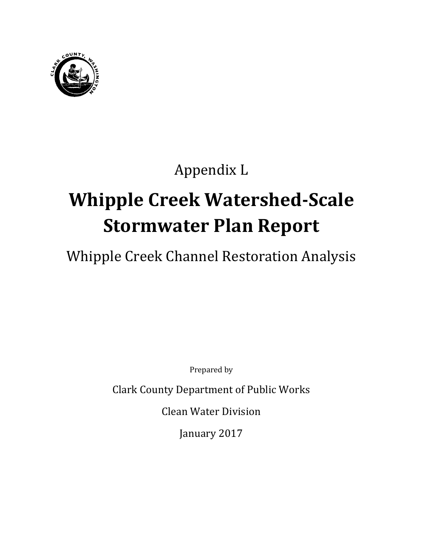

# Appendix L

# **Whipple Creek Watershed-Scale Stormwater Plan Report**

Whipple Creek Channel Restoration Analysis

Prepared by

Clark County Department of Public Works

Clean Water Division

January 2017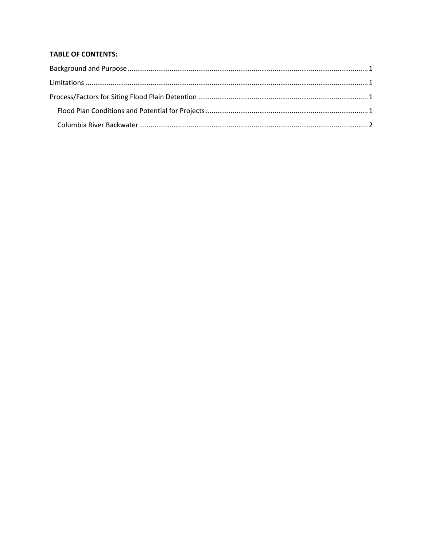#### **TABLE OF CONTENTS:**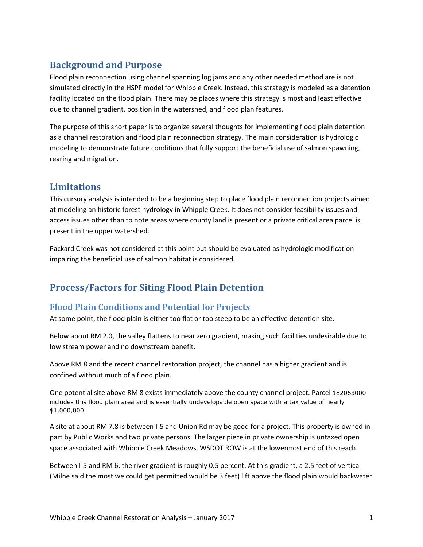## <span id="page-4-0"></span>**Background and Purpose**

Flood plain reconnection using channel spanning log jams and any other needed method are is not simulated directly in the HSPF model for Whipple Creek. Instead, this strategy is modeled as a detention facility located on the flood plain. There may be places where this strategy is most and least effective due to channel gradient, position in the watershed, and flood plan features.

The purpose of this short paper is to organize several thoughts for implementing flood plain detention as a channel restoration and flood plain reconnection strategy. The main consideration is hydrologic modeling to demonstrate future conditions that fully support the beneficial use of salmon spawning, rearing and migration.

#### <span id="page-4-1"></span>**Limitations**

This cursory analysis is intended to be a beginning step to place flood plain reconnection projects aimed at modeling an historic forest hydrology in Whipple Creek. It does not consider feasibility issues and access issues other than to note areas where county land is present or a private critical area parcel is present in the upper watershed.

Packard Creek was not considered at this point but should be evaluated as hydrologic modification impairing the beneficial use of salmon habitat is considered.

### <span id="page-4-2"></span>**Process/Factors for Siting Flood Plain Detention**

#### <span id="page-4-3"></span>**Flood Plain Conditions and Potential for Projects**

At some point, the flood plain is either too flat or too steep to be an effective detention site.

Below about RM 2.0, the valley flattens to near zero gradient, making such facilities undesirable due to low stream power and no downstream benefit.

Above RM 8 and the recent channel restoration project, the channel has a higher gradient and is confined without much of a flood plain.

One potential site above RM 8 exists immediately above the county channel project. Parcel 182063000 includes this flood plain area and is essentially undevelopable open space with a tax value of nearly \$1,000,000.

A site at about RM 7.8 is between I-5 and Union Rd may be good for a project. This property is owned in part by Public Works and two private persons. The larger piece in private ownership is untaxed open space associated with Whipple Creek Meadows. WSDOT ROW is at the lowermost end of this reach.

Between I-5 and RM 6, the river gradient is roughly 0.5 percent. At this gradient, a 2.5 feet of vertical (Milne said the most we could get permitted would be 3 feet) lift above the flood plain would backwater